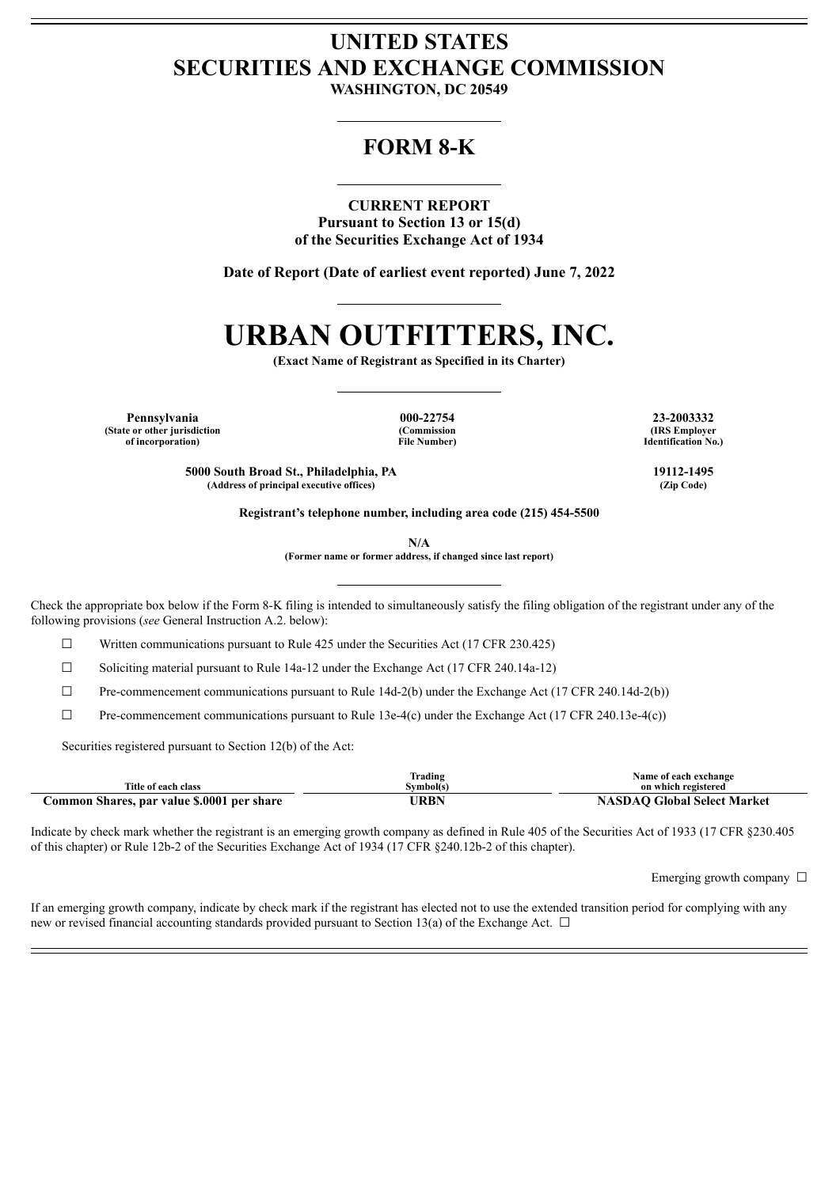## **UNITED STATES SECURITIES AND EXCHANGE COMMISSION**

**WASHINGTON, DC 20549**

### **FORM 8-K**

#### **CURRENT REPORT**

**Pursuant to Section 13 or 15(d) of the Securities Exchange Act of 1934**

**Date of Report (Date of earliest event reported) June 7, 2022**

# **URBAN OUTFITTERS, INC.**

**(Exact Name of Registrant as Specified in its Charter)**

**Pennsylvania 000-22754 23-2003332 (State or other jurisdiction of incorporation)**

**(Commission File Number)**

**(IRS Employer Identification No.)**

**5000 South Broad St., Philadelphia, PA 19112-1495 (Address of principal executive offices) (Zip Code)**

**Registrant's telephone number, including area code (215) 454-5500**

**N/A**

**(Former name or former address, if changed since last report)**

Check the appropriate box below if the Form 8-K filing is intended to simultaneously satisfy the filing obligation of the registrant under any of the following provisions (*see* General Instruction A.2. below):

 $\Box$  Written communications pursuant to Rule 425 under the Securities Act (17 CFR 230.425)

 $\Box$  Soliciting material pursuant to Rule 14a-12 under the Exchange Act (17 CFR 240.14a-12)

 $\Box$  Pre-commencement communications pursuant to Rule 14d-2(b) under the Exchange Act (17 CFR 240.14d-2(b))

 $\Box$  Pre-commencement communications pursuant to Rule 13e-4(c) under the Exchange Act (17 CFR 240.13e-4(c))

Securities registered pursuant to Section 12(b) of the Act:

|                                            | Trading   | Name of each exchange              |
|--------------------------------------------|-----------|------------------------------------|
| Title of each class                        | Symbol(s) | on which registered                |
| Common Shares, par value \$.0001 per share | JRBN      | <b>NASDAO Global Select Market</b> |

Indicate by check mark whether the registrant is an emerging growth company as defined in Rule 405 of the Securities Act of 1933 (17 CFR §230.405 of this chapter) or Rule 12b-2 of the Securities Exchange Act of 1934 (17 CFR §240.12b-2 of this chapter).

Emerging growth company  $\Box$ 

If an emerging growth company, indicate by check mark if the registrant has elected not to use the extended transition period for complying with any new or revised financial accounting standards provided pursuant to Section 13(a) of the Exchange Act.  $\Box$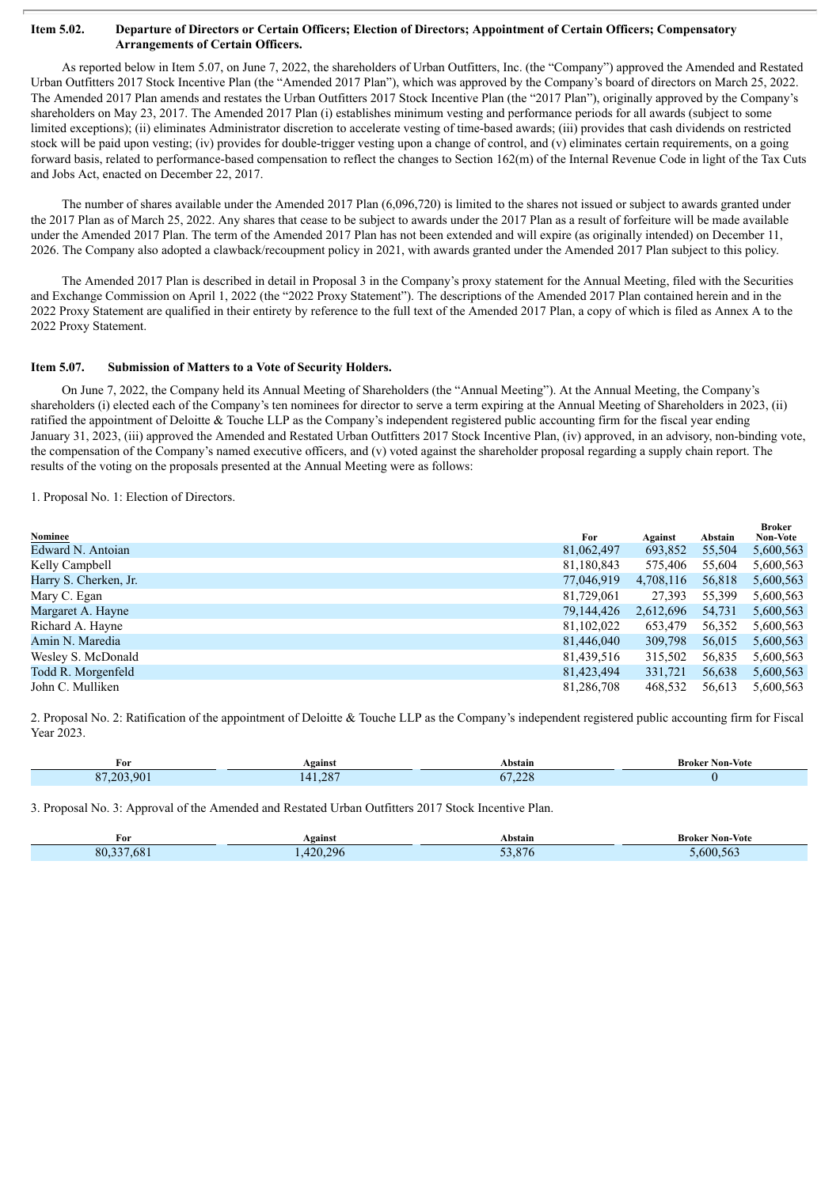#### Item 5.02. Departure of Directors or Certain Officers; Election of Directors; Appointment of Certain Officers; Compensatory **Arrangements of Certain Officers.**

As reported below in Item 5.07, on June 7, 2022, the shareholders of Urban Outfitters, Inc. (the "Company") approved the Amended and Restated Urban Outfitters 2017 Stock Incentive Plan (the "Amended 2017 Plan"), which was approved by the Company's board of directors on March 25, 2022. The Amended 2017 Plan amends and restates the Urban Outfitters 2017 Stock Incentive Plan (the "2017 Plan"), originally approved by the Company's shareholders on May 23, 2017. The Amended 2017 Plan (i) establishes minimum vesting and performance periods for all awards (subject to some limited exceptions); (ii) eliminates Administrator discretion to accelerate vesting of time-based awards; (iii) provides that cash dividends on restricted stock will be paid upon vesting; (iv) provides for double-trigger vesting upon a change of control, and (v) eliminates certain requirements, on a going forward basis, related to performance-based compensation to reflect the changes to Section 162(m) of the Internal Revenue Code in light of the Tax Cuts and Jobs Act, enacted on December 22, 2017.

The number of shares available under the Amended 2017 Plan (6,096,720) is limited to the shares not issued or subject to awards granted under the 2017 Plan as of March 25, 2022. Any shares that cease to be subject to awards under the 2017 Plan as a result of forfeiture will be made available under the Amended 2017 Plan. The term of the Amended 2017 Plan has not been extended and will expire (as originally intended) on December 11, 2026. The Company also adopted a clawback/recoupment policy in 2021, with awards granted under the Amended 2017 Plan subject to this policy.

The Amended 2017 Plan is described in detail in Proposal 3 in the Company's proxy statement for the Annual Meeting, filed with the Securities and Exchange Commission on April 1, 2022 (the "2022 Proxy Statement"). The descriptions of the Amended 2017 Plan contained herein and in the 2022 Proxy Statement are qualified in their entirety by reference to the full text of the Amended 2017 Plan, a copy of which is filed as Annex A to the 2022 Proxy Statement.

#### **Item 5.07. Submission of Matters to a Vote of Security Holders.**

On June 7, 2022, the Company held its Annual Meeting of Shareholders (the "Annual Meeting"). At the Annual Meeting, the Company's shareholders (i) elected each of the Company's ten nominees for director to serve a term expiring at the Annual Meeting of Shareholders in 2023, (ii) ratified the appointment of Deloitte & Touche LLP as the Company's independent registered public accounting firm for the fiscal year ending January 31, 2023, (iii) approved the Amended and Restated Urban Outfitters 2017 Stock Incentive Plan, (iv) approved, in an advisory, non-binding vote, the compensation of the Company's named executive officers, and (v) voted against the shareholder proposal regarding a supply chain report. The results of the voting on the proposals presented at the Annual Meeting were as follows:

1. Proposal No. 1: Election of Directors.

| Nominee               | For        | Against   | Abstain | <b>Broker</b><br><b>Non-Vote</b> |
|-----------------------|------------|-----------|---------|----------------------------------|
| Edward N. Antoian     | 81,062,497 | 693,852   | 55,504  | 5,600,563                        |
| Kelly Campbell        | 81,180,843 | 575,406   | 55,604  | 5,600,563                        |
| Harry S. Cherken, Jr. | 77,046,919 | 4,708,116 | 56,818  | 5,600,563                        |
| Mary C. Egan          | 81,729,061 | 27,393    | 55,399  | 5,600,563                        |
| Margaret A. Hayne     | 79,144,426 | 2,612,696 | 54,731  | 5,600,563                        |
| Richard A. Hayne      | 81,102,022 | 653,479   | 56,352  | 5,600,563                        |
| Amin N. Maredia       | 81,446,040 | 309,798   | 56,015  | 5,600,563                        |
| Wesley S. McDonald    | 81,439,516 | 315,502   | 56,835  | 5,600,563                        |
| Todd R. Morgenfeld    | 81,423,494 | 331,721   | 56,638  | 5,600,563                        |
| John C. Mulliken      | 81,286,708 | 468,532   | 56,613  | 5.600.563                        |

2. Proposal No. 2: Ratification of the appointment of Deloitte & Touche LLP as the Company's independent registered public accounting firm for Fiscal Year 2023.

| For                   | Against                                          | Abstain       | <b>Broker Non-Vote</b> |
|-----------------------|--------------------------------------------------|---------------|------------------------|
| $\Omega$<br>90<br>วกว | $\cap$<br>$\Delta$<br>1.20.<br><b>CONTRACTOR</b> | 27.22<br>1,44 |                        |

3. Proposal No. 3: Approval of the Amended and Restated Urban Outfitters 2017 Stock Incentive Plan.

| $\sim$<br>For | Against           | Abstain            | <b>Broker Non-Vote</b> |
|---------------|-------------------|--------------------|------------------------|
| 80,337,681    | 420.296<br>$\sim$ | 52.07<br>.8/t<br>. | 0.600.563              |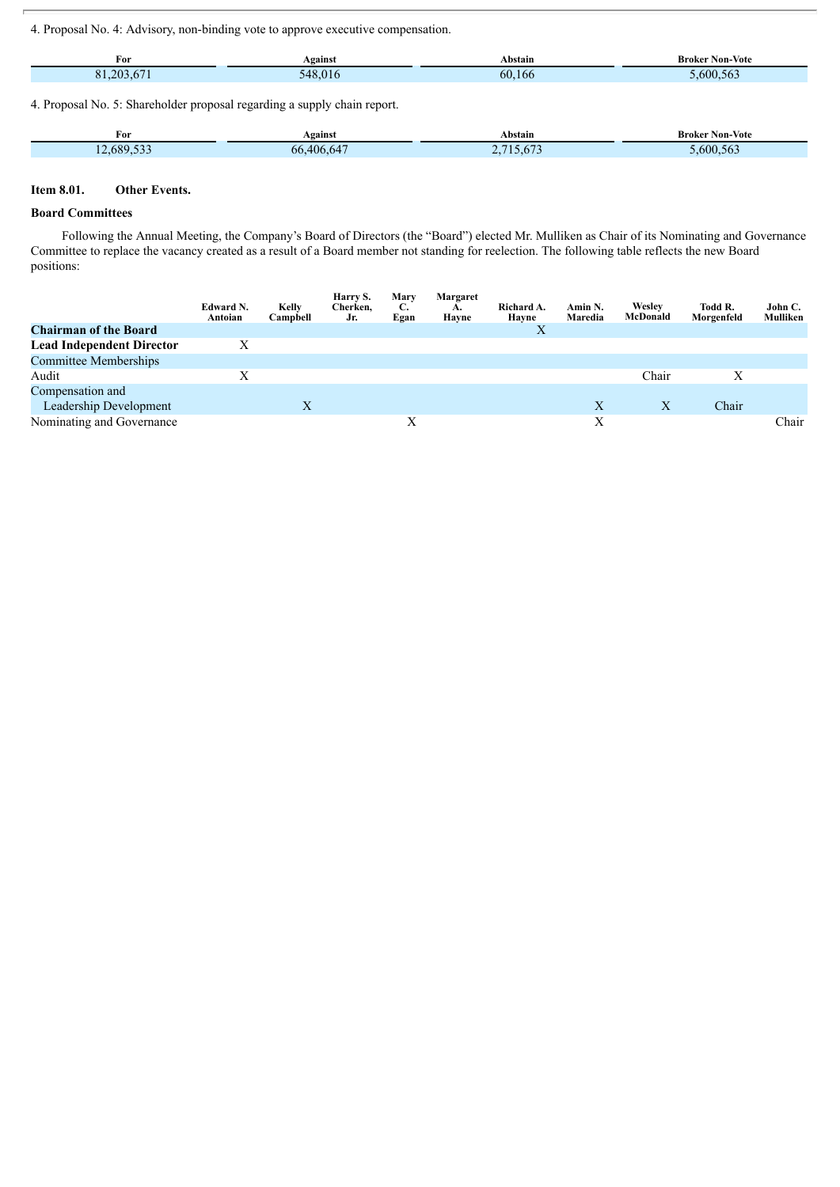4. Proposal No. 4: Advisory, non-binding vote to approve executive compensation.

| For                   | Against | Abstain      | Non-<br>Broker<br>-Vote<br>. |
|-----------------------|---------|--------------|------------------------------|
| $\gamma$ <sup>o</sup> | ۰4۶     | $60^{\circ}$ | $-\sqrt{2}$                  |
| $\Omega$ 1            | . .     | 166          | 600.563                      |

4. Proposal No. 5: Shareholder proposal regarding a supply chain report.

| m<br>For                                  | Against       | Abstain                 | <b>Broker Non-Vote</b> |
|-------------------------------------------|---------------|-------------------------|------------------------|
| $\sim$ $\sim$ $\sim$<br>12,689,533<br>$-$ | $,406.64^{-}$ | $\sqrt{2}$<br>$.0012 -$ | 0.600.563              |

#### **Item 8.01. Other Events.**

#### **Board Committees**

Following the Annual Meeting, the Company's Board of Directors (the "Board") elected Mr. Mulliken as Chair of its Nominating and Governance Committee to replace the vacancy created as a result of a Board member not standing for reelection. The following table reflects the new Board positions:

|                                  | Edward N.<br>Antoian | Kelly<br>Campbell | Harry S.<br>Cherken,<br>Jr. | Mary<br>C.<br>Egan | Margaret<br>А.<br>Havne | Richard A.<br>Havne | Amin N.<br>Maredia | Wesley<br>McDonald | Todd R.<br>Morgenfeld | John C.<br>Mulliken |
|----------------------------------|----------------------|-------------------|-----------------------------|--------------------|-------------------------|---------------------|--------------------|--------------------|-----------------------|---------------------|
| <b>Chairman of the Board</b>     |                      |                   |                             |                    |                         | X                   |                    |                    |                       |                     |
| <b>Lead Independent Director</b> | Χ                    |                   |                             |                    |                         |                     |                    |                    |                       |                     |
| <b>Committee Memberships</b>     |                      |                   |                             |                    |                         |                     |                    |                    |                       |                     |
| Audit                            | Х                    |                   |                             |                    |                         |                     |                    | Chair              | Х                     |                     |
| Compensation and                 |                      |                   |                             |                    |                         |                     |                    |                    |                       |                     |
| Leadership Development           |                      | X                 |                             |                    |                         |                     | X                  | X                  | Chair                 |                     |
| Nominating and Governance        |                      |                   |                             | Х                  |                         |                     | Х                  |                    |                       | Chair               |